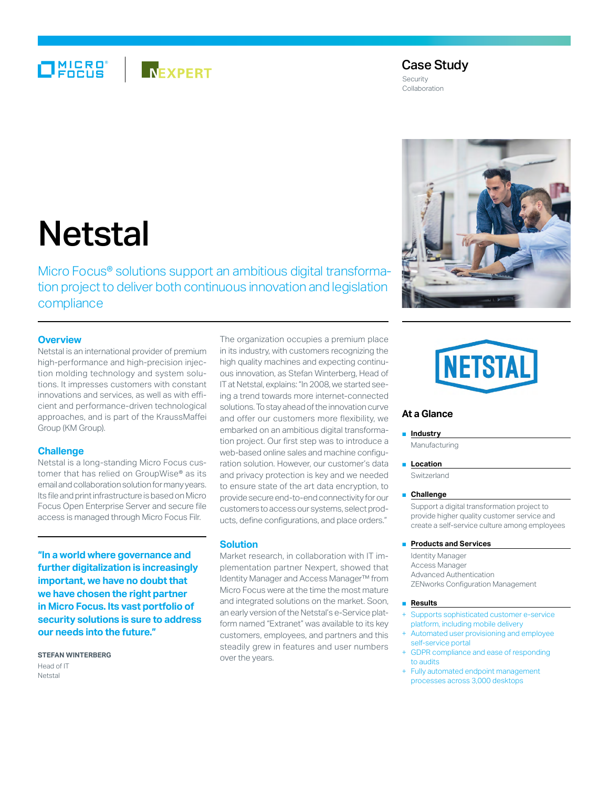## MICRO®<br>FOCUS **NEXPERT**

#### Case Study Security Collaboration

# **Netstal**

Micro Focus<sup>®</sup> solutions support an ambitious digital transformation project to deliver both continuous innovation and legislation compliance

### **Overview**

Netstal is an international provider of premium high-performance and high-precision injection molding technology and system solutions. It impresses customers with constant innovations and services, as well as with efficient and performance-driven technological approaches, and is part of the KraussMaffei Group (KM Group).

#### **Challenge**

Netstal is a long-standing Micro Focus customer that has relied on GroupWise® as its email and collaboration solution for many years. Its file and print infrastructure is based on Micro Focus Open Enterprise Server and secure file access is managed through Micro Focus Filr.

**"In a world where governance and further digitalization is increasingly important, we have no doubt that we have chosen the right partner in Micro Focus. Its vast portfolio of security solutions is sure to address our needs into the future."**

**Stefan Winterberg**

Head of IT Netstal

The organization occupies a premium place in its industry, with customers recognizing the high quality machines and expecting continuous innovation, as Stefan Winterberg, Head of IT at Netstal, explains: "In 2008, we started seeing a trend towards more internet-connected solutions. To stay ahead of the innovation curve and offer our customers more flexibility, we embarked on an ambitious digital transformation project. Our first step was to introduce a web-based online sales and machine configuration solution. However, our customer's data and privacy protection is key and we needed to ensure state of the art data encryption, to provide secure end-to-end connectivity for our customers to access our systems, select products, define configurations, and place orders."

#### **Solution**

Market research, in collaboration with IT implementation partner Nexpert, showed that Identity Manager and Access Manager™ from Micro Focus were at the time the most mature and integrated solutions on the market. Soon, an early version of the Netstal's e-Service platform named "Extranet" was available to its key customers, employees, and partners and this steadily grew in features and user numbers over the years.



### **At a Glance**

#### ■ **Industry**

Manufacturing

#### ■ **Location**

Switzerland

#### ■ **Challenge**

Support a digital transformation project to provide higher quality customer service and create a self-service culture among employees

#### ■ **Products and Services**

Identity Manager Access Manager Advanced Authentication ZENworks Configuration Management

#### ■ **Results**

- Supports sophisticated customer e-service platform, including mobile delivery
- Automated user provisioning and employee self-service portal
- + GDPR compliance and ease of responding to audits
- Fully automated endpoint management processes across 3,000 desktops